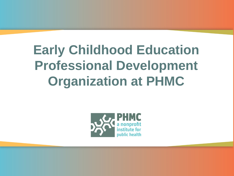## **Early Childhood Education Professional Development Organization at PHMC**

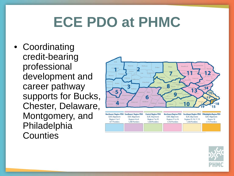# **ECE PDO at PHMC**

• Coordinating credit-bearing professional development and career pathway supports for Bucks, Chester, Delaware, Montgomery, and Philadelphia **Counties** 



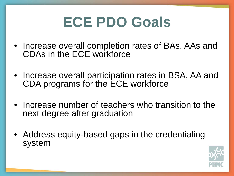# **ECE PDO Goals**

- Increase overall completion rates of BAs, AAs and CDAs in the ECE workforce
- Increase overall participation rates in BSA, AA and CDA programs for the ECE workforce
- Increase number of teachers who transition to the next degree after graduation
- Address equity-based gaps in the credentialing system

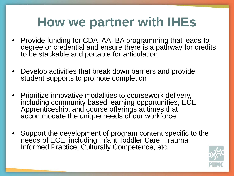#### **How we partner with IHEs**

- Provide funding for CDA, AA, BA programming that leads to degree or credential and ensure there is a pathway for credits to be stackable and portable for articulation
- Develop activities that break down barriers and provide student supports to promote completion
- Prioritize innovative modalities to coursework delivery, including community based learning opportunities, ECE Apprenticeship, and course offerings at times that accommodate the unique needs of our workforce
- Support the development of program content specific to the needs of ECE, including Infant Toddler Care, Trauma Informed Practice, Culturally Competence, etc.

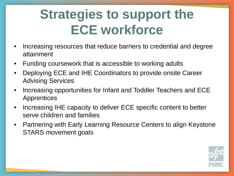## **Strategies to support the ECE workforce**

- Increasing resources that reduce barriers to credential and degree attainment
- Funding coursework that is accessible to working adults
- Deploying ECE and IHE Coordinators to provide onsite Career Advising Services
- Increasing opportunities for Infant and Toddler Teachers and ECE **Apprentices**
- Increasing IHE capacity to deliver ECE specific content to better serve children and families
- Partnering with Early Learning Resource Centers to align Keystone STARS movement goals

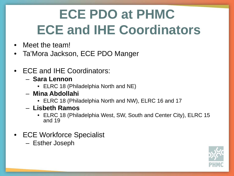# **ECE PDO at PHMC ECE and IHE Coordinators**

- Meet the team!
- Ta'Mora Jackson, ECE PDO Manger
- ECE and IHE Coordinators:
	- **Sara Lennon**
		- ELRC 18 (Philadelphia North and NE)
	- **Mina Abdollahi**
		- ELRC 18 (Philadelphia North and NW), ELRC 16 and 17
	- **Lisbeth Ramos** 
		- ELRC 18 (Philadelphia West, SW, South and Center City), ELRC 15 and 19
- ECE Workforce Specialist
	- Esther Joseph

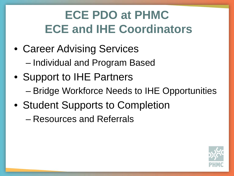#### **ECE PDO at PHMC ECE and IHE Coordinators**

- Career Advising Services – Individual and Program Based
- Support to IHE Partners
	- Bridge Workforce Needs to IHE Opportunities
- Student Supports to Completion
	- Resources and Referrals

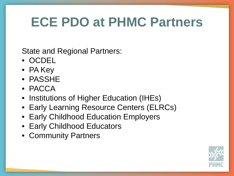#### **ECE PDO at PHMC Partners**

State and Regional Partners:

- OCDEL
- PA Key
- PASSHE
- PACCA
- Institutions of Higher Education (IHEs)
- Early Learning Resource Centers (ELRCs)
- Early Childhood Education Employers
- Early Childhood Educators
- Community Partners

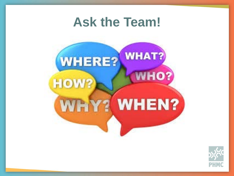#### **Ask the Team!**